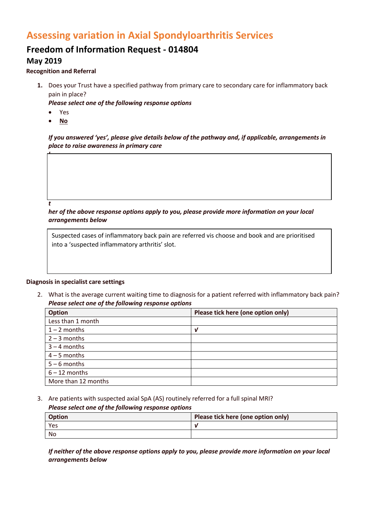# **Assessing variation in Axial Spondyloarthritis Services**

# **Freedom of Information Request - 014804**

# **May 2019**

## **Recognition and Referral**

**1.** Does your Trust have a specified pathway from primary care to secondary care for inflammatory back pain in place?

*Please select one of the following response options*

- Yes
- **No**

*If you answered 'yes', please give details below of the pathway and, if applicable, arrangements in place to raise awareness in primary care*

#### *t*

*I*

*her of the above response options apply to you, please provide more information on your local arrangements below*

Suspected cases of inflammatory back pain are referred vis choose and book and are prioritised into a 'suspected inflammatory arthritis' slot.

### **Diagnosis in specialist care settings**

2. What is the average current waiting time to diagnosis for a patient referred with inflammatory back pain? *Please select one of the following response options*

| <b>Option</b>       | Please tick here (one option only) |
|---------------------|------------------------------------|
| Less than 1 month   |                                    |
| $1 - 2$ months      | ν                                  |
| $2 - 3$ months      |                                    |
| $3 - 4$ months      |                                    |
| $4 - 5$ months      |                                    |
| $5 - 6$ months      |                                    |
| $6 - 12$ months     |                                    |
| More than 12 months |                                    |

3. Are patients with suspected axial SpA (AS) routinely referred for a full spinal MRI?

### *Please select one of the following response options*

| Option    | Please tick here (one option only) |
|-----------|------------------------------------|
| Yes       |                                    |
| <b>No</b> |                                    |

*If neither of the above response options apply to you, please provide more information on your local arrangements below*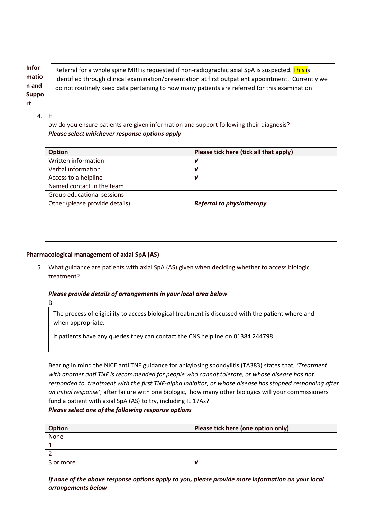**Infor matio n and Suppo rt**

Referral for a whole spine MRI is requested if non-radiographic axial SpA is suspected. This is identified through clinical examination/presentation at first outpatient appointment. Currently we do not routinely keep data pertaining to how many patients are referred for this examination

4. H

ow do you ensure patients are given information and support following their diagnosis? *Please select whichever response options apply*

| Option                         | Please tick here (tick all that apply) |
|--------------------------------|----------------------------------------|
| Written information            | V                                      |
| Verbal information             | $\mathbf v$                            |
| Access to a helpline           | $\boldsymbol{\nu}$                     |
| Named contact in the team      |                                        |
| Group educational sessions     |                                        |
| Other (please provide details) | <b>Referral to physiotherapy</b>       |
|                                |                                        |
|                                |                                        |
|                                |                                        |
|                                |                                        |

# **Pharmacological management of axial SpA (AS)**

5. What guidance are patients with axial SpA (AS) given when deciding whether to access biologic treatment?

# *Please provide details of arrangements in your local area below*

B  $\mathsf{I}$ 

> $\mathsf{I}$  $\overline{\phantom{a}}$ i  $\mathsf{I}$

The process of eligibility to access biological treatment is discussed with the patient where and when appropriate.

If patients have any queries they can contact the CNS helpline on 01384 244798

Bearing in mind the NICE anti TNF guidance for ankylosing spondylitis (TA383) states that, 'Treatment *with another anti TNF is recommended for people who cannot tolerate, or whose disease has not responded to, treatment with the first TNF-alpha inhibitor, or whose disease has stopped responding after an initial response'*, after failure with one biologic, how many other biologics will your commissioners fund a patient with axial SpA (AS) to try, including IL 17As?

## *Please select one of the following response options*

| <b>Option</b> | Please tick here (one option only) |
|---------------|------------------------------------|
| None          |                                    |
|               |                                    |
|               |                                    |
| 3 or more     |                                    |

*If none of the above response options apply to you, please provide more information on your local arrangements below*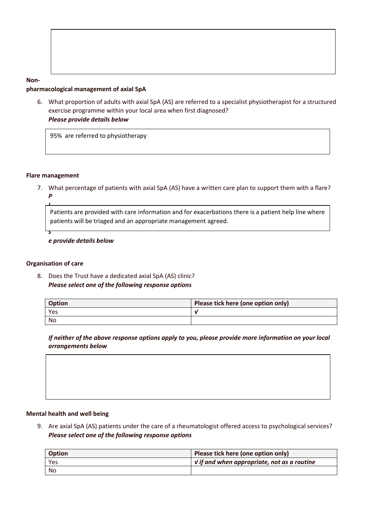| .                                       |  |
|-----------------------------------------|--|
| pharmacological management of axial SpA |  |

6. What proportion of adults with axial SpA (AS) are referred to a specialist physiotherapist for a structured exercise programme within your local area when first diagnosed? *Please provide details below*

95% are referred to physiotherapy

### **Flare management**

**Non-**

7. What percentage of patients with axial SpA (AS) have a written care plan to support them with a flare?

*P l*

*s*

Patients are provided with care information and for exacerbations there is a patient help line where *a* patients will be triaged and an appropriate management agreed.

*e provide details below*

# **Organisation of care**

8. Does the Trust have a dedicated axial SpA (AS) clinic? *Please select one of the following response options*

| <b>Option</b> | Please tick here (one option only) |
|---------------|------------------------------------|
| Yes           |                                    |
| No            |                                    |

*If neither of the above response options apply to you, please provide more information on your local arrangements below*



# **Mental health and well being**

9. Are axial SpA (AS) patients under the care of a rheumatologist offered access to psychological services? *Please select one of the following response options*

| <b>Option</b> | Please tick here (one option only)                            |
|---------------|---------------------------------------------------------------|
| Yes           | $\vert \nu \rangle$ if and when appropriate, not as a routine |
| <b>No</b>     |                                                               |